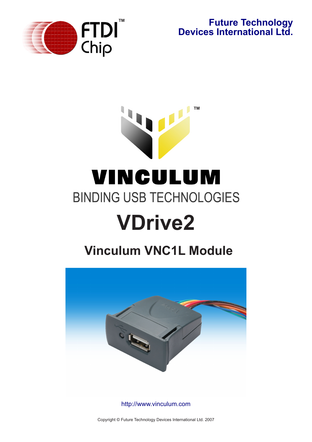

**Future Technology Devices International Ltd.**

# **™**VINCULUM **BINDING USB TECHNOLOGIES VDrive2**

# **Vinculum VNC1L Module**



http://www.vinculum.com

Copyright © Future Technology Devices International Ltd. 2007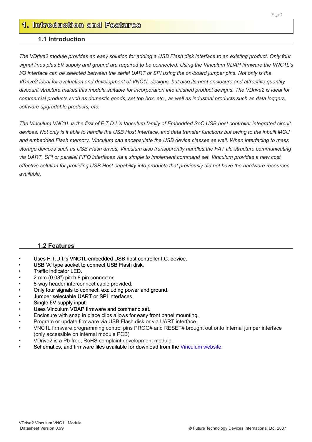# **1. Introduction and Features**

#### **1.1 Introduction**

*The VDrive2 module provides an easy solution for adding a USB Flash disk interface to an existing product. Only four signal lines plus 5V supply and ground are required to be connected. Using the Vinculum VDAP firmware the VNC1L's I/O interface can be selected between the serial UART or SPI using the on-board jumper pins. Not only is the VDrive2 ideal for evaluation and development of VNC1L designs, but also its neat enclosure and attractive quantity discount structure makes this module suitable for incorporation into finished product designs. The VDrive2 is ideal for commercial products such as domestic goods, set top box, etc., as well as industrial products such as data loggers, software upgradable products, etc.*

*The Vinculum VNC1L is the first of F.T.D.I.'s Vinculum family of Embedded SoC USB host controller integrated circuit devices. Not only is it able to handle the USB Host Interface, and data transfer functions but owing to the inbuilt MCU and embedded Flash memory, Vinculum can encapsulate the USB device classes as well. When interfacing to mass storage devices such as USB Flash drives, Vinculum also transparently handles the FAT file structure communicating via UART, SPI or parallel FIFO interfaces via a simple to implement command set. Vinculum provides a new cost effective solution for providing USB Host capability into products that previously did not have the hardware resources available.*

#### **1.2 Features**

- Uses F.T.D.I.'s VNC1L embedded USB host controller I.C. device.
- USB 'A' type socket to connect USB Flash disk.
- Traffic indicator LED.
- 2 mm (0.08") pitch 8 pin connector.
- 8-way header interconnect cable provided.
- Only four signals to connect, excluding power and ground.
- Jumper selectable UART or SPI interfaces.
- Single 5V supply input.
- Uses Vinculum VDAP firmware and command set.
- Enclosure with snap in place clips allows for easy front panel mounting.
- Program or update firmware via USB Flash disk or via UART interface.
- VNC1L firmware programming control pins PROG# and RESET# brought out onto internal jumper interface (only accessible on internal module PCB)
- VDrive2 is a Pb-free, RoHS complaint development module.
- Schematics, and firmware files available for download from the Vinculum website.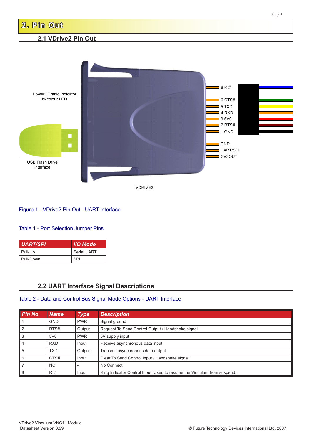

Figure 1 - VDrive2 Pin Out - UART interface.

#### Table 1 - Port Selection Jumper Pins

| <b>UART/SPI</b> | I/O Mode           |  |  |
|-----------------|--------------------|--|--|
| Pull-Up         | <b>Serial UART</b> |  |  |
| Pull-Down       | <b>SPI</b>         |  |  |

## **2.2 UART Interface Signal Descriptions**

#### Table 2 - Data and Control Bus Signal Mode Options - UART Interface

| Pin No.        | <b>Name</b>      | <b>Type</b> | <b>Description</b>                                                      |
|----------------|------------------|-------------|-------------------------------------------------------------------------|
|                | <b>GND</b>       | <b>PWR</b>  | Signal ground                                                           |
| $\overline{2}$ | RTS#             | Output      | Request To Send Control Output / Handshake signal                       |
| 3              | 5V <sub>0</sub>  | <b>PWR</b>  | 5V supply input                                                         |
| 4              | <b>RXD</b>       | Input       | Receive asynchronous data input                                         |
| 5              | <b>TXD</b>       | Output      | Transmit asynchronous data output                                       |
| 6              | CTS#             | Input       | Clear To Send Control Input / Handshake signal                          |
|                | <b>NC</b>        |             | No Connect                                                              |
| 8              | $R$ <sup>#</sup> | Input       | Ring Indicator Control Input. Used to resume the Vinculum from suspend. |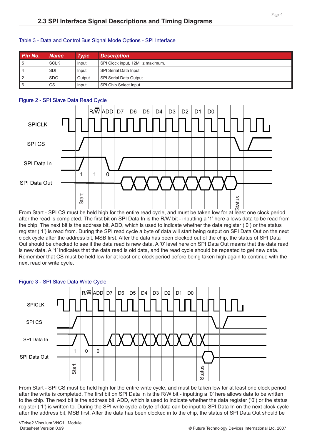| Pin No.        | <b>Name</b> | <b>Type</b> | <b>Description</b>              |
|----------------|-------------|-------------|---------------------------------|
| 15             | <b>SCLK</b> | Input       | SPI Clock input, 12MHz maximum. |
| 4              | <b>SDI</b>  | Input       | <b>SPI Serial Data Input</b>    |
| $\overline{2}$ | <b>SDO</b>  | Output      | SPI Serial Data Output          |
| <b>16</b>      | CS          | Input       | <b>SPI Chip Select Input</b>    |

#### Table 3 - Data and Control Bus Signal Mode Options - SPI Interface

#### Figure 2 - SPI Slave Data Read Cycle



From Start - SPI CS must be held high for the entire read cycle, and must be taken low for at least one clock period after the read is completed. The first bit on SPI Data In is the R/W bit - inputting a '1' here allows data to be read from the chip. The next bit is the address bit, ADD, which is used to indicate whether the data register ('0') or the status register ('1') is read from. During the SPI read cycle a byte of data will start being output on SPI Data Out on the next clock cycle after the address bit, MSB first. After the data has been clocked out of the chip, the status of SPI Data Out should be checked to see if the data read is new data. A '0' level here on SPI Data Out means that the data read is new data. A '1' indicates that the data read is old data, and the read cycle should be repeated to get new data. Remember that CS must be held low for at least one clock period before being taken high again to continue with the next read or write cycle.



#### Figure 3 - SPI Slave Data Write Cycle

From Start - SPI CS must be held high for the entire write cycle, and must be taken low for at least one clock period after the write is completed. The first bit on SPI Data In is the R/W bit - inputting a '0' here allows data to be written to the chip. The next bit is the address bit, ADD, which is used to indicate whether the data register ('0') or the status register ('1') is written to. During the SPI write cycle a byte of data can be input to SPI Data In on the next clock cycle after the address bit, MSB first. After the data has been clocked in to the chip, the status of SPI Data Out should be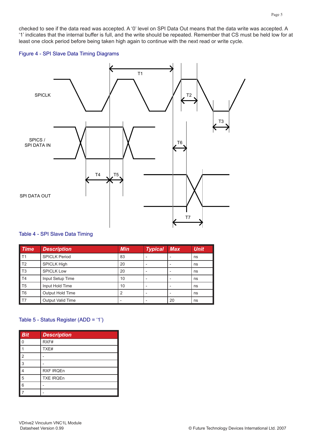checked to see if the data read was accepted. A '0' level on SPI Data Out means that the data write was accepted. A '1' indicates that the internal buffer is full, and the write should be repeated. Remember that CS must be held low for at least one clock period before being taken high again to continue with the next read or write cycle.

#### Figure 4 - SPI Slave Data Timing Diagrams



#### Table 4 - SPI Slave Data Timing

| <b>Time</b>       | <b>Description</b>   | <b>Min</b> | <b>Typical</b> | <b>Max</b> | <b>Unit</b> |
|-------------------|----------------------|------------|----------------|------------|-------------|
| $\blacksquare$ T1 | <b>SPICLK Period</b> | 83         |                |            | ns          |
| $\mathsf{T}2$     | <b>SPICLK High</b>   | 20         |                |            | ns          |
| $\mathsf{T}$ 3    | <b>SPICLK Low</b>    | 20         |                |            | ns          |
| $\blacksquare$ T4 | Input Setup Time     | 10         |                |            | ns          |
| $\blacksquare$ T5 | Input Hold Time      | 10         |                |            | ns          |
| $\blacksquare$ T6 | Output Hold Time     | 2          |                |            | ns          |
| $\blacksquare$ T7 | Output Valid Time    |            |                | 20         | ns          |

#### Table 5 - Status Register (ADD = '1')

| <b>Bit</b>     | <b>Description</b> |
|----------------|--------------------|
| $\Omega$       | RXF#               |
|                | TXE#               |
| $\overline{2}$ |                    |
| 3              |                    |
| $\overline{4}$ | RXF IRQEn          |
| 5              | <b>TXE IRQEn</b>   |
| 6              |                    |
| 7              |                    |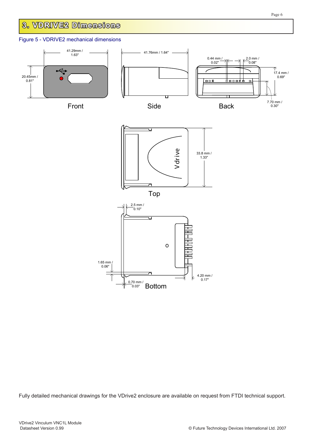# **3. VDRIVE2 Dimensions**

#### Figure 5 - VDRIVE2 mechanical dimensions



Fully detailed mechanical drawings for the VDrive2 enclosure are available on request from FTDI technical support.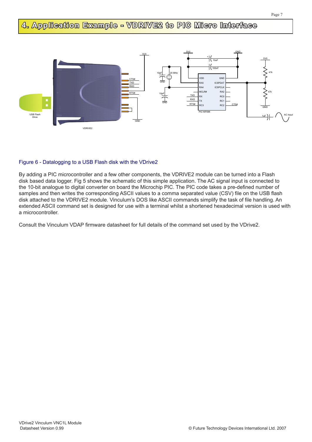# **4. Application Example - VDRIVE2 to PIC Micro Interface**



#### Figure 6 - Datalogging to a USB Flash disk with the VDrive2

By adding a PIC microcontroller and a few other components, the VDRIVE2 module can be turned into a Flash disk based data logger. Fig 5 shows the schematic of this simple application. The AC signal input is connected to the 10-bit analogue to digital converter on board the Microchip PIC. The PIC code takes a pre-defined number of samples and then writes the corresponding ASCII values to a comma separated value (CSV) file on the USB flash disk attached to the VDRIVE2 module. Vinculum's DOS like ASCII commands simplify the task of file handling. An extended ASCII command set is designed for use with a terminal whilst a shortened hexadecimal version is used with a microcontroller.

Consult the Vinculum VDAP firmware datasheet for full details of the command set used by the VDrive2.